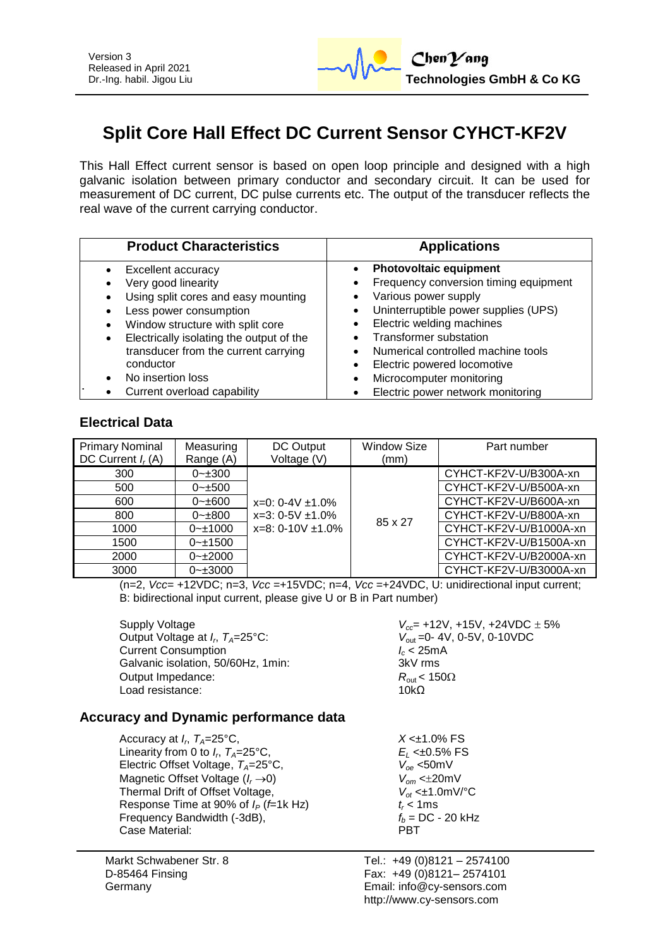

# **Split Core Hall Effect DC Current Sensor CYHCT-KF2V**

This Hall Effect current sensor is based on open loop principle and designed with a high galvanic isolation between primary conductor and secondary circuit. It can be used for measurement of DC current, DC pulse currents etc. The output of the transducer reflects the real wave of the current carrying conductor.

| <b>Product Characteristics</b>           | <b>Applications</b>                   |  |  |
|------------------------------------------|---------------------------------------|--|--|
| Excellent accuracy                       | <b>Photovoltaic equipment</b>         |  |  |
| Very good linearity                      | Frequency conversion timing equipment |  |  |
| Using split cores and easy mounting      | Various power supply                  |  |  |
| Less power consumption                   | Uninterruptible power supplies (UPS)  |  |  |
| Window structure with split core         | Electric welding machines             |  |  |
| Electrically isolating the output of the | <b>Transformer substation</b>         |  |  |
| transducer from the current carrying     | Numerical controlled machine tools    |  |  |
| conductor                                | Electric powered locomotive           |  |  |
| No insertion loss                        | Microcomputer monitoring              |  |  |
| Current overload capability              | Electric power network monitoring     |  |  |

## **Electrical Data**

| <b>Primary Nominal</b><br>DC Current $I_r(A)$ | Measuring<br>Range (A) | DC Output<br>Voltage (V)                                                  | <b>Window Size</b><br>(mm) | Part number            |
|-----------------------------------------------|------------------------|---------------------------------------------------------------------------|----------------------------|------------------------|
| 300                                           | $0 - 300$              |                                                                           |                            | CYHCT-KF2V-U/B300A-xn  |
| 500                                           | $0 - \pm 500$          | $x=0$ : 0-4V $\pm$ 1.0%<br>$x=3: 0-5V \pm 1.0\%$<br>$x=8:0-10V \pm 1.0\%$ |                            | CYHCT-KF2V-U/B500A-xn  |
| 600                                           | $0 - \pm 600$          |                                                                           | 85 x 27                    | CYHCT-KF2V-U/B600A-xn  |
| 800                                           | $0 - \pm 800$          |                                                                           |                            | CYHCT-KF2V-U/B800A-xn  |
| 1000                                          | $0 - 1000$             |                                                                           |                            | CYHCT-KF2V-U/B1000A-xn |
| 1500                                          | $0 - 1500$             |                                                                           |                            | CYHCT-KF2V-U/B1500A-xn |
| 2000                                          | $0 - 2000$             |                                                                           |                            | CYHCT-KF2V-U/B2000A-xn |
| 3000                                          | $0 - \pm 3000$         |                                                                           |                            | CYHCT-KF2V-U/B3000A-xn |

(n=2, *Vcc*= +12VDC; n=3, *Vcc* =+15VDC; n=4, *Vcc* =+24VDC, U: unidirectional input current; B: bidirectional input current, please give U or B in Part number)

Supply Voltage *Vcc*= +12V, +15V, +24VDC 5% Output Voltage at *I<sub><i>r*</sub></sub> $T_{4}=25^{\circ}$ C: Current Consumption *I<sub>c</sub>* **< 25m**<br>Galvanic isolation, 50/60Hz, 1min: 3kV rms Galvanic isolation, 50/60Hz, 1min; Output Impedance:  $R_{\text{out}} < 150\Omega$ <br>Load resistance:  $10k\Omega$ Load resistance:

*V*<sub>out</sub> = 0-4V, 0-5V, 0-10VDC<br>*I<sub>c</sub>* < 25mA

## **Accuracy and Dynamic performance data**

Accuracy at *I<sup>r</sup>* , *TA*=25°C, *X* <±1.0% FS Linearity from 0 to  $I_r$ ,  $T_A = 25^{\circ}C$ , Electric Offset Voltage,  $T_A = 25^\circ \text{C}$ , Magnetic Offset Voltage ( $I_r \rightarrow 0$ )<br>Thermal Drift of Offset Voltage,  $V_{of} \le \pm 1.0 \text{mV}$ <sup>o</sup>C Thermal Drift of Offset Voltage,  $V_{ot} \ll 1.0$ <br>Response Time at 90% of  $I_P$  (f=1k Hz)  $t_r < 1$ ms Response Time at 90% of  $I_P$  (*f*=1k Hz)  $t_r < 1$ ms<br>Frequency Bandwidth (-3dB),  $f_b = DC - 20$  kHz Frequency Bandwidth (-3dB),  $f_b = I$ <br>Case Material: **PBT** Case Material:

Markt Schwabener Str. 8 D-85464 Finsing Germany

 $E_L$  <±0.5% FS<br> $V_{oe}$  <50mV

Tel.: +49 (0)8121 – 2574100 Fax: +49 (0)8121– 2574101 Email: info@cy-sensors.com http://www.cy-sensors.com